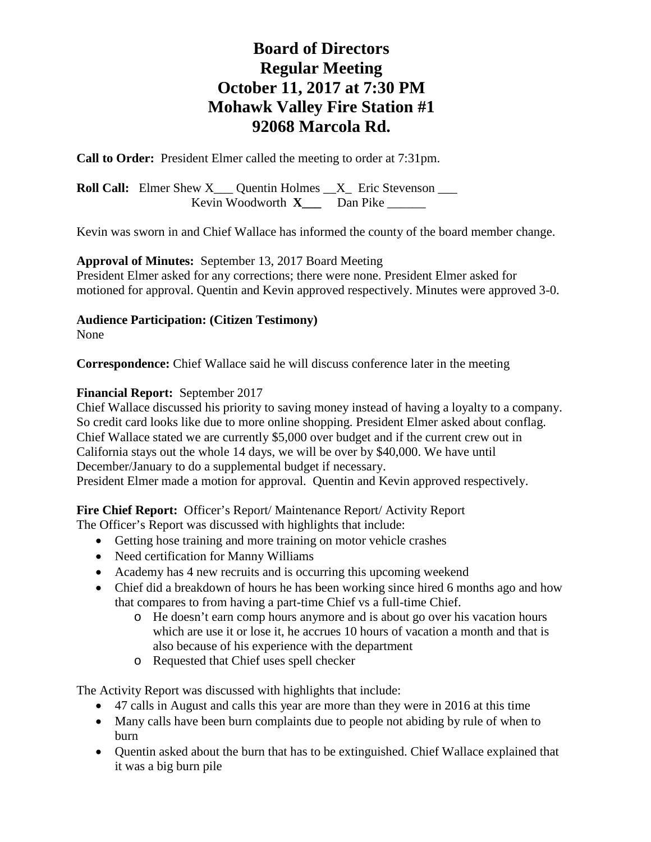# **Board of Directors Regular Meeting October 11, 2017 at 7:30 PM Mohawk Valley Fire Station #1 92068 Marcola Rd.**

**Call to Order:** President Elmer called the meeting to order at 7:31pm.

**Roll Call:** Elmer Shew X\_\_\_ Quentin Holmes \_\_X\_ Eric Stevenson \_\_\_ Kevin Woodworth **X** Dan Pike

Kevin was sworn in and Chief Wallace has informed the county of the board member change.

**Approval of Minutes:** September 13, 2017 Board Meeting President Elmer asked for any corrections; there were none. President Elmer asked for motioned for approval. Quentin and Kevin approved respectively. Minutes were approved 3-0.

#### **Audience Participation: (Citizen Testimony)**

None

**Correspondence:** Chief Wallace said he will discuss conference later in the meeting

#### **Financial Report:** September 2017

Chief Wallace discussed his priority to saving money instead of having a loyalty to a company. So credit card looks like due to more online shopping. President Elmer asked about conflag. Chief Wallace stated we are currently \$5,000 over budget and if the current crew out in California stays out the whole 14 days, we will be over by \$40,000. We have until December/January to do a supplemental budget if necessary. President Elmer made a motion for approval. Quentin and Kevin approved respectively.

**Fire Chief Report:** Officer's Report/ Maintenance Report/ Activity Report

- The Officer's Report was discussed with highlights that include:
	- Getting hose training and more training on motor vehicle crashes
	- Need certification for Manny Williams
	- Academy has 4 new recruits and is occurring this upcoming weekend
	- Chief did a breakdown of hours he has been working since hired 6 months ago and how that compares to from having a part-time Chief vs a full-time Chief.
		- o He doesn't earn comp hours anymore and is about go over his vacation hours which are use it or lose it, he accrues 10 hours of vacation a month and that is also because of his experience with the department
		- o Requested that Chief uses spell checker

The Activity Report was discussed with highlights that include:

- 47 calls in August and calls this year are more than they were in 2016 at this time
- Many calls have been burn complaints due to people not abiding by rule of when to burn
- Quentin asked about the burn that has to be extinguished. Chief Wallace explained that it was a big burn pile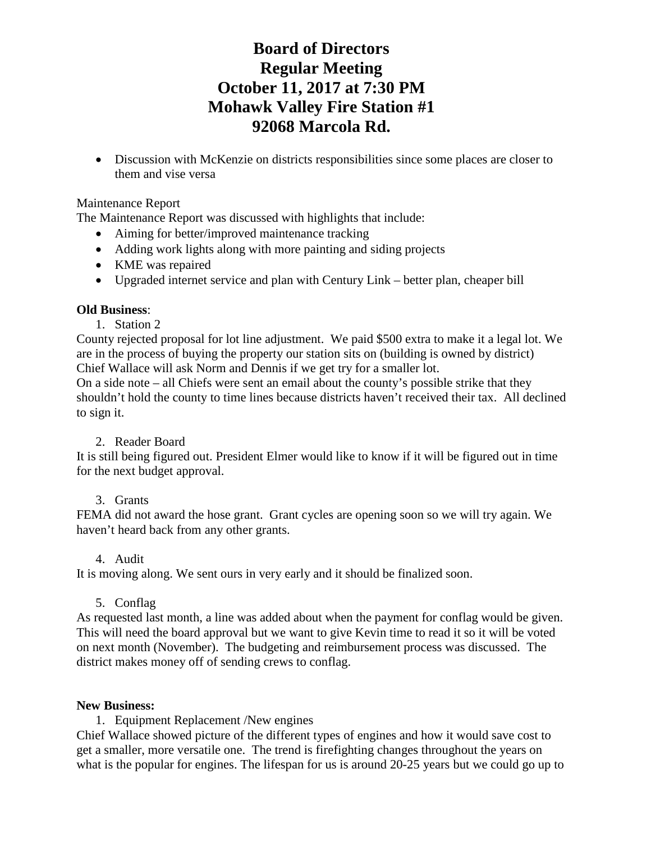# **Board of Directors Regular Meeting October 11, 2017 at 7:30 PM Mohawk Valley Fire Station #1 92068 Marcola Rd.**

• Discussion with McKenzie on districts responsibilities since some places are closer to them and vise versa

#### Maintenance Report

The Maintenance Report was discussed with highlights that include:

- Aiming for better/improved maintenance tracking
- Adding work lights along with more painting and siding projects
- KME was repaired
- Upgraded internet service and plan with Century Link better plan, cheaper bill

## **Old Business**:

1. Station 2

County rejected proposal for lot line adjustment. We paid \$500 extra to make it a legal lot. We are in the process of buying the property our station sits on (building is owned by district) Chief Wallace will ask Norm and Dennis if we get try for a smaller lot.

On a side note – all Chiefs were sent an email about the county's possible strike that they shouldn't hold the county to time lines because districts haven't received their tax. All declined to sign it.

## 2. Reader Board

It is still being figured out. President Elmer would like to know if it will be figured out in time for the next budget approval.

## 3. Grants

FEMA did not award the hose grant. Grant cycles are opening soon so we will try again. We haven't heard back from any other grants.

## 4. Audit

It is moving along. We sent ours in very early and it should be finalized soon.

## 5. Conflag

As requested last month, a line was added about when the payment for conflag would be given. This will need the board approval but we want to give Kevin time to read it so it will be voted on next month (November). The budgeting and reimbursement process was discussed. The district makes money off of sending crews to conflag.

#### **New Business:**

1. Equipment Replacement /New engines

Chief Wallace showed picture of the different types of engines and how it would save cost to get a smaller, more versatile one. The trend is firefighting changes throughout the years on what is the popular for engines. The lifespan for us is around 20-25 years but we could go up to